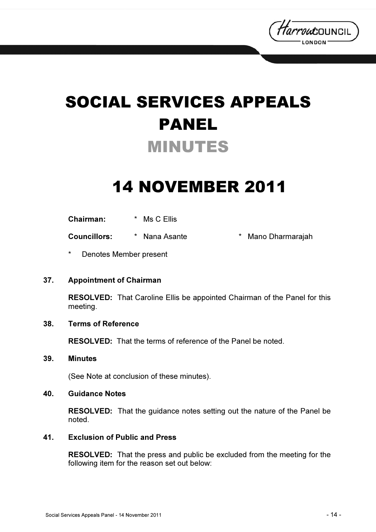

# SOCIAL SERVICES APPEALS PANEL MINUTES

## 14 NOVEMBER 2011

| <b>Chairman:</b> | * Ms C Ellis |
|------------------|--------------|
|                  |              |

Councillors: \* Nana Asante \* Mano Dharmarajah

Denotes Member present

#### 37. Appointment of Chairman

RESOLVED: That Caroline Ellis be appointed Chairman of the Panel for this meeting.

#### 38. Terms of Reference

RESOLVED: That the terms of reference of the Panel be noted.

#### 39. Minutes

(See Note at conclusion of these minutes).

#### 40. Guidance Notes

RESOLVED: That the guidance notes setting out the nature of the Panel be noted.

#### 41. Exclusion of Public and Press

RESOLVED: That the press and public be excluded from the meeting for the following item for the reason set out below: